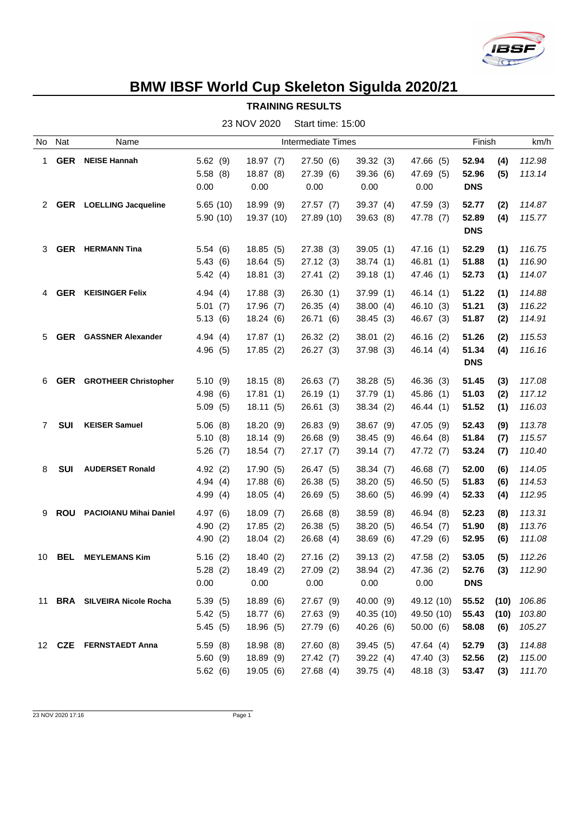

## **BMW IBSF World Cup Skeleton Sigulda 2020/21**

**TRAINING RESULTS**

|             |               |                               |            | $\sim$     | 00.00 00.00        |           |            |            |                |
|-------------|---------------|-------------------------------|------------|------------|--------------------|-----------|------------|------------|----------------|
| No          | Nat           | Name                          |            |            | Intermediate Times |           |            | Finish     | km/h           |
| 1.          | <b>GER</b>    | <b>NEISE Hannah</b>           | 5.62(9)    | 18.97(7)   | 27.50 (6)          | 39.32(3)  | 47.66 (5)  | 52.94      | 112.98<br>(4)  |
|             |               |                               | 5.58(8)    | 18.87(8)   | 27.39 (6)          | 39.36(6)  | 47.69 (5)  | 52.96      | 113.14<br>(5)  |
|             |               |                               | 0.00       | 0.00       | 0.00               | 0.00      | 0.00       | <b>DNS</b> |                |
|             | 2 GER         | <b>LOELLING Jacqueline</b>    | 5.65(10)   | 18.99 (9)  | 27.57(7)           | 39.37 (4) | 47.59 (3)  | 52.77      | 114.87<br>(2)  |
|             |               |                               | 5.90(10)   | 19.37 (10) | 27.89 (10)         | 39.63(8)  | 47.78 (7)  | 52.89      | 115.77<br>(4)  |
|             |               |                               |            |            |                    |           |            | <b>DNS</b> |                |
| 3           | GER           | <b>HERMANN Tina</b>           | 5.54(6)    | 18.85(5)   | 27.38 (3)          | 39.05(1)  | 47.16(1)   | 52.29      | (1)<br>116.75  |
|             |               |                               | 5.43(6)    | 18.64(5)   | 27.12(3)           | 38.74(1)  | 46.81(1)   | 51.88      | (1)<br>116.90  |
|             |               |                               | 5.42(4)    | 18.81(3)   | 27.41(2)           | 39.18(1)  | 47.46 (1)  | 52.73      | 114.07<br>(1)  |
| 4           | <b>GER</b>    | <b>KEISINGER Felix</b>        | 4.94 $(4)$ | 17.88(3)   | 26.30(1)           | 37.99(1)  | 46.14(1)   | 51.22      | (1)<br>114.88  |
|             |               |                               | 5.01(7)    | 17.96(7)   | 26.35(4)           | 38.00(4)  | 46.10 (3)  | 51.21      | (3)<br>116.22  |
|             |               |                               | 5.13(6)    | 18.24 (6)  | 26.71 (6)          | 38.45(3)  | 46.67 (3)  | 51.87      | 114.91<br>(2)  |
| 5.          | GER           | <b>GASSNER Alexander</b>      | 4.94(4)    | 17.87(1)   | 26.32(2)           | 38.01(2)  | 46.16(2)   | 51.26      | 115.53<br>(2)  |
|             |               |                               | 4.96(5)    | 17.85(2)   | 26.27(3)           | 37.98(3)  | 46.14(4)   | 51.34      | 116.16<br>(4)  |
|             |               |                               |            |            |                    |           |            | <b>DNS</b> |                |
| 6           | <b>GER</b>    | <b>GROTHEER Christopher</b>   | 5.10(9)    | 18.15(8)   | 26.63(7)           | 38.28(5)  | 46.36(3)   | 51.45      | (3)<br>117.08  |
|             |               |                               | 4.98(6)    | 17.81(1)   | 26.19(1)           | 37.79(1)  | 45.86 (1)  | 51.03      | 117.12<br>(2)  |
|             |               |                               | 5.09(5)    | 18.11(5)   | 26.61(3)           | 38.34(2)  | 46.44 (1)  | 51.52      | 116.03<br>(1)  |
| $7^{\circ}$ | <b>SUI</b>    | <b>KEISER Samuel</b>          | 5.06(8)    | 18.20(9)   | 26.83(9)           | 38.67 (9) | 47.05 (9)  | 52.43      | 113.78<br>(9)  |
|             |               |                               | 5.10(8)    | 18.14(9)   | 26.68 (9)          | 38.45(9)  | 46.64 (8)  | 51.84      | 115.57<br>(7)  |
|             |               |                               | 5.26(7)    | 18.54 (7)  | 27.17(7)           | 39.14(7)  | 47.72 (7)  | 53.24      | 110.40<br>(7)  |
| 8           | SUI           | <b>AUDERSET Ronald</b>        | 4.92(2)    | 17.90(5)   | 26.47 (5)          | 38.34(7)  | 46.68 (7)  | 52.00      | 114.05<br>(6)  |
|             |               |                               | 4.94(4)    | 17.88 (6)  | 26.38(5)           | 38.20(5)  | 46.50 (5)  | 51.83      | 114.53<br>(6)  |
|             |               |                               | 4.99(4)    | 18.05(4)   | 26.69(5)           | 38.60(5)  | 46.99 (4)  | 52.33      | 112.95<br>(4)  |
| 9           | ROU           | <b>PACIOIANU Mihai Daniel</b> | 4.97(6)    | 18.09(7)   | 26.68(8)           | 38.59(8)  | 46.94 (8)  | 52.23      | 113.31<br>(8)  |
|             |               |                               | 4.90(2)    | 17.85(2)   | 26.38(5)           | 38.20(5)  | 46.54(7)   | 51.90      | (8)<br>113.76  |
|             |               |                               | 4.90(2)    | 18.04(2)   | 26.68 (4)          | 38.69 (6) | 47.29 (6)  | 52.95      | 111.08<br>(6)  |
|             | 10 <b>BEL</b> | <b>MEYLEMANS Kim</b>          | 5.16(2)    | 18.40 (2)  | 27.16(2)           | 39.13(2)  | 47.58 (2)  | 53.05      | (5)<br>112.26  |
|             |               |                               | 5.28(2)    | 18.49 (2)  | 27.09(2)           | 38.94(2)  | 47.36 (2)  | 52.76      | $(3)$ 112.90   |
|             |               |                               | 0.00       | 0.00       | 0.00               | 0.00      | 0.00       | <b>DNS</b> |                |
|             |               | 11 BRA SILVEIRA Nicole Rocha  | 5.39(5)    | 18.89(6)   | 27.67 (9)          | 40.00 (9) | 49.12 (10) | 55.52      | (10)<br>106.86 |
|             |               |                               | 5.42(5)    | 18.77 (6)  | 27.63 (9)          | 40.35(10) | 49.50 (10) | 55.43      | 103.80<br>(10) |
|             |               |                               | 5.45(5)    | 18.96 (5)  | 27.79 (6)          | 40.26 (6) | 50.00(6)   | 58.08      | 105.27<br>(6)  |
|             |               | 12 CZE FERNSTAEDT Anna        | 5.59(8)    | 18.98(8)   | 27.60(8)           | 39.45(5)  | 47.64 (4)  | 52.79      | 114.88<br>(3)  |
|             |               |                               | 5.60(9)    | 18.89(9)   | 27.42(7)           | 39.22(4)  | 47.40 (3)  | 52.56      | 115.00<br>(2)  |
|             |               |                               | 5.62(6)    | 19.05 (6)  | 27.68(4)           | 39.75(4)  | 48.18 (3)  | 53.47      | 111.70<br>(3)  |

23 NOV 2020 Start time: 15:00